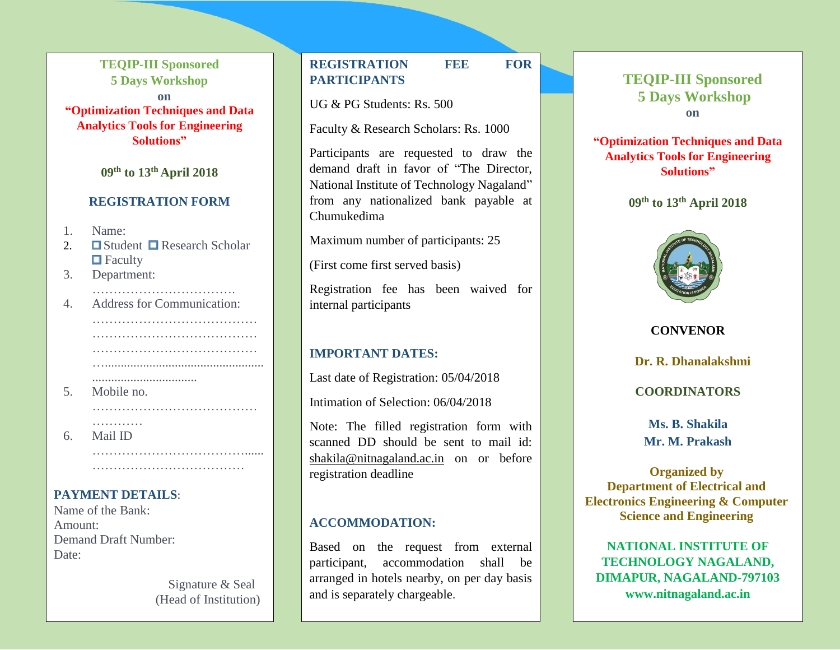**TEQIP-III Sponsored 5 Days Workshop on "Optimization Techniques and Data Analytics Tools for Engineering Solutions"**

**09th to 13th April 2018**

### **REGISTRATION FORM**

- 1. Name:
- 2.  $\Box$  Student  $\Box$  Research Scholar  $\blacksquare$  Faculty

…………………………….

…………………………………

………………………………… …..................................................

…………………………………

………………………………...... ……………………………………………

3. Department:

5. Mobile no.

6. Mail ID

4. Address for Communication:

.................................

# **REGISTRATION FEE FOR PARTICIPANTS**

UG & PG Students: Rs. 500

Faculty & Research Scholars: Rs. 1000

Participants are requested to draw the demand draft in favor of "The Director, National Institute of Technology Nagaland" from any nationalized bank payable at Chumukedima

Maximum number of participants: 25

(First come first served basis)

Registration fee has been waived for internal participants

# **IMPORTANT DATES:**

Last date of Registration: 05/04/2018

Intimation of Selection: 06/04/2018

Note: The filled registration form with scanned DD should be sent to mail id: [shakila@nitnagaland.ac.in](mailto:shakila@nitnagaland.ac.in) on or before registration deadline

## **ACCOMMODATION:**

Based on the request from external participant, accommodation shall be arranged in hotels nearby, on per day basis and is separately chargeable.

# **TEQIP-III Sponsored 5 Days Workshop on**

**"Optimization Techniques and Data Analytics Tools for Engineering Solutions"**

**09th to 13th April 2018**



**CONVENOR**

**Dr. R. Dhanalakshmi**

**COORDINATORS**

**Ms. B. Shakila Mr. M. Prakash**

**Organized by Department of Electrical and Electronics Engineering & Computer Science and Engineering**

**NATIONAL INSTITUTE OF TECHNOLOGY NAGALAND, DIMAPUR, NAGALAND-797103 www.nitnagaland.ac.in**

# **PAYMENT DETAILS**:

…………

Name of the Bank: Amount: Demand Draft Number: Date:

> Signature & Seal (Head of Institution)